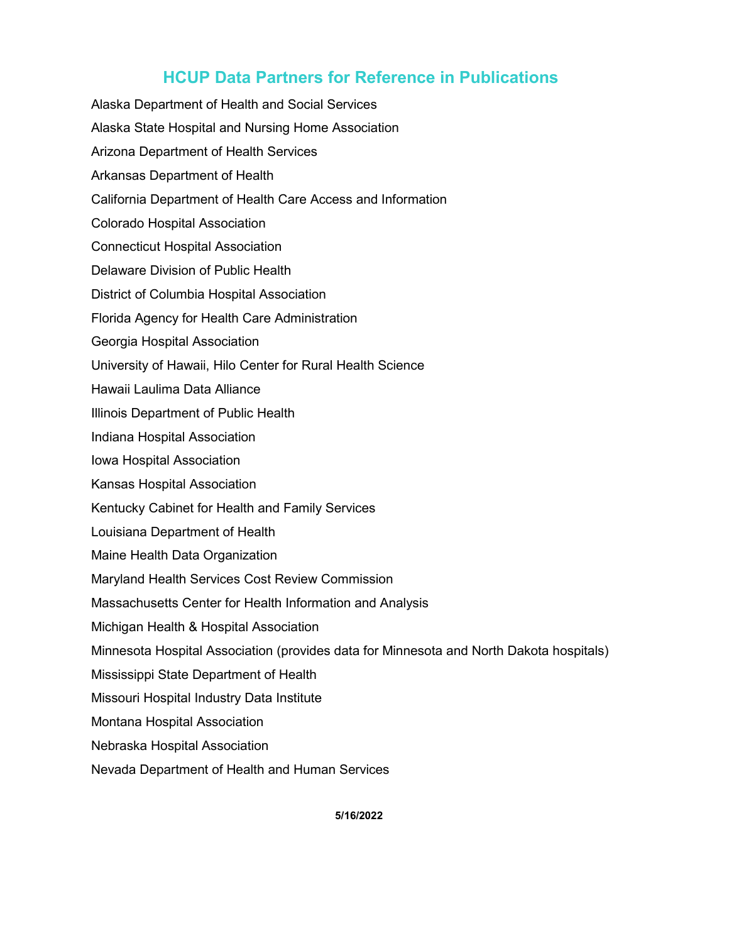## **HCUP Data Partners for Reference in Publications**

Alaska Department of Health and Social Services Alaska State Hospital and Nursing Home Association Arizona Department of Health Services Arkansas Department of Health California Department of Health Care Access and Information Colorado Hospital Association Connecticut Hospital Association Delaware Division of Public Health District of Columbia Hospital Association Florida Agency for Health Care Administration Georgia Hospital Association University of Hawaii, Hilo Center for Rural Health Science Hawaii Laulima Data Alliance Illinois Department of Public Health Indiana Hospital Association Iowa Hospital Association Kansas Hospital Association Kentucky Cabinet for Health and Family Services Louisiana Department of Health Maine Health Data Organization Maryland Health Services Cost Review Commission Massachusetts Center for Health Information and Analysis Michigan Health & Hospital Association Minnesota Hospital Association (provides data for Minnesota and North Dakota hospitals) Mississippi State Department of Health Missouri Hospital Industry Data Institute Montana Hospital Association Nebraska Hospital Association

Nevada Department of Health and Human Services

**5/16/2022**